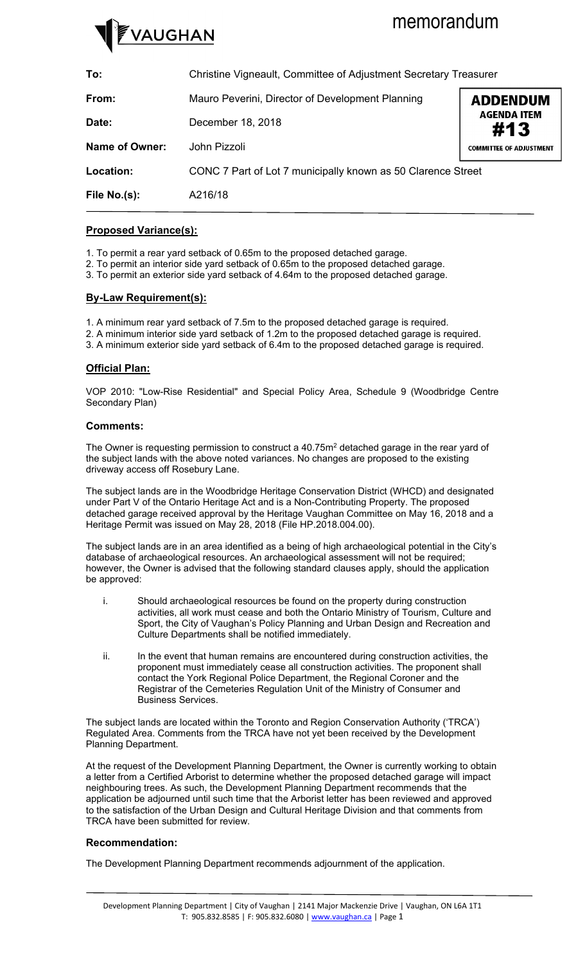# *AUGHAN*

# memorandum

**To:** Christine Vigneault, Committee of Adjustment Secretary Treasurer **From:** Mauro Peverini, Director of Development Planning **ADDENDUM AGENDA ITEM Date:** December 18, 2018 #13**Name of Owner:** John Pizzoli **COMMITTEE OF ADJUSTMENT Location:** CONC 7 Part of Lot 7 municipally known as 50 Clarence Street **File No.(s):** A216/18

## **Proposed Variance(s):**

- 1. To permit a rear yard setback of 0.65m to the proposed detached garage.
- 2. To permit an interior side yard setback of 0.65m to the proposed detached garage.
- 3. To permit an exterior side yard setback of 4.64m to the proposed detached garage.

### **By-Law Requirement(s):**

- 1. A minimum rear yard setback of 7.5m to the proposed detached garage is required.
- 2. A minimum interior side yard setback of 1.2m to the proposed detached garage is required.
- 3. A minimum exterior side yard setback of 6.4m to the proposed detached garage is required.

### **Official Plan:**

VOP 2010: "Low-Rise Residential" and Special Policy Area, Schedule 9 (Woodbridge Centre Secondary Plan)

#### **Comments:**

The Owner is requesting permission to construct a  $40.75m<sup>2</sup>$  detached garage in the rear yard of the subject lands with the above noted variances. No changes are proposed to the existing driveway access off Rosebury Lane.

The subject lands are in the Woodbridge Heritage Conservation District (WHCD) and designated under Part V of the Ontario Heritage Act and is a Non-Contributing Property. The proposed detached garage received approval by the Heritage Vaughan Committee on May 16, 2018 and a Heritage Permit was issued on May 28, 2018 (File HP.2018.004.00).

The subject lands are in an area identified as a being of high archaeological potential in the City's database of archaeological resources. An archaeological assessment will not be required; however, the Owner is advised that the following standard clauses apply, should the application be approved:

- i. Should archaeological resources be found on the property during construction activities, all work must cease and both the Ontario Ministry of Tourism, Culture and Sport, the City of Vaughan's Policy Planning and Urban Design and Recreation and Culture Departments shall be notified immediately.
- ii. In the event that human remains are encountered during construction activities, the proponent must immediately cease all construction activities. The proponent shall contact the York Regional Police Department, the Regional Coroner and the Registrar of the Cemeteries Regulation Unit of the Ministry of Consumer and Business Services.

The subject lands are located within the Toronto and Region Conservation Authority ('TRCA') Regulated Area. Comments from the TRCA have not yet been received by the Development Planning Department.

At the request of the Development Planning Department, the Owner is currently working to obtain a letter from a Certified Arborist to determine whether the proposed detached garage will impact neighbouring trees. As such, the Development Planning Department recommends that the application be adjourned until such time that the Arborist letter has been reviewed and approved to the satisfaction of the Urban Design and Cultural Heritage Division and that comments from TRCA have been submitted for review.

#### **Recommendation:**

The Development Planning Department recommends adjournment of the application.